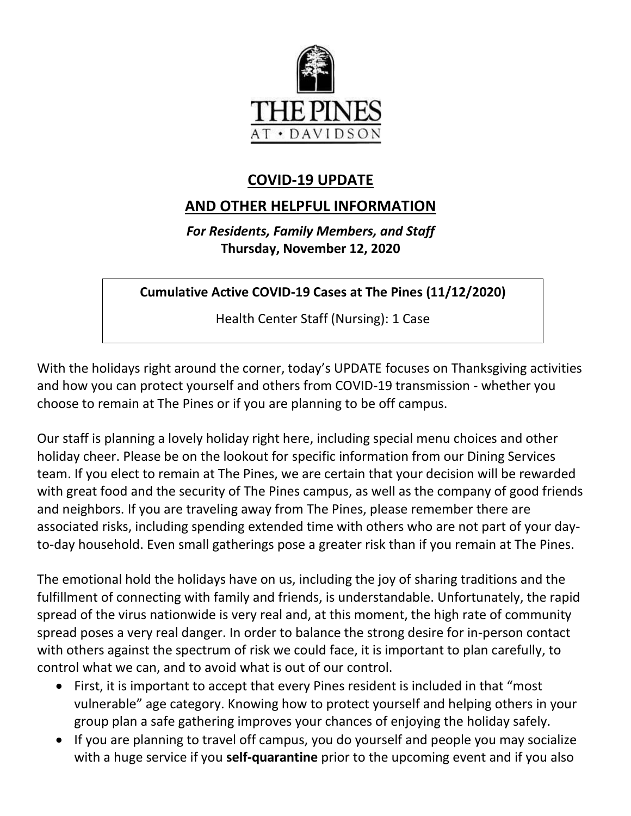

## **COVID-19 UPDATE**

# **AND OTHER HELPFUL INFORMATION**

*For Residents, Family Members, and Staff* **Thursday, November 12, 2020**

**Cumulative Active COVID-19 Cases at The Pines (11/12/2020)**

Health Center Staff (Nursing): 1 Case

With the holidays right around the corner, today's UPDATE focuses on Thanksgiving activities and how you can protect yourself and others from COVID-19 transmission - whether you choose to remain at The Pines or if you are planning to be off campus.

Our staff is planning a lovely holiday right here, including special menu choices and other holiday cheer. Please be on the lookout for specific information from our Dining Services team. If you elect to remain at The Pines, we are certain that your decision will be rewarded with great food and the security of The Pines campus, as well as the company of good friends and neighbors. If you are traveling away from The Pines, please remember there are associated risks, including spending extended time with others who are not part of your dayto-day household. Even small gatherings pose a greater risk than if you remain at The Pines.

The emotional hold the holidays have on us, including the joy of sharing traditions and the fulfillment of connecting with family and friends, is understandable. Unfortunately, the rapid spread of the virus nationwide is very real and, at this moment, the high rate of community spread poses a very real danger. In order to balance the strong desire for in-person contact with others against the spectrum of risk we could face, it is important to plan carefully, to control what we can, and to avoid what is out of our control.

- First, it is important to accept that every Pines resident is included in that "most vulnerable" age category. Knowing how to protect yourself and helping others in your group plan a safe gathering improves your chances of enjoying the holiday safely.
- If you are planning to travel off campus, you do yourself and people you may socialize with a huge service if you **self-quarantine** prior to the upcoming event and if you also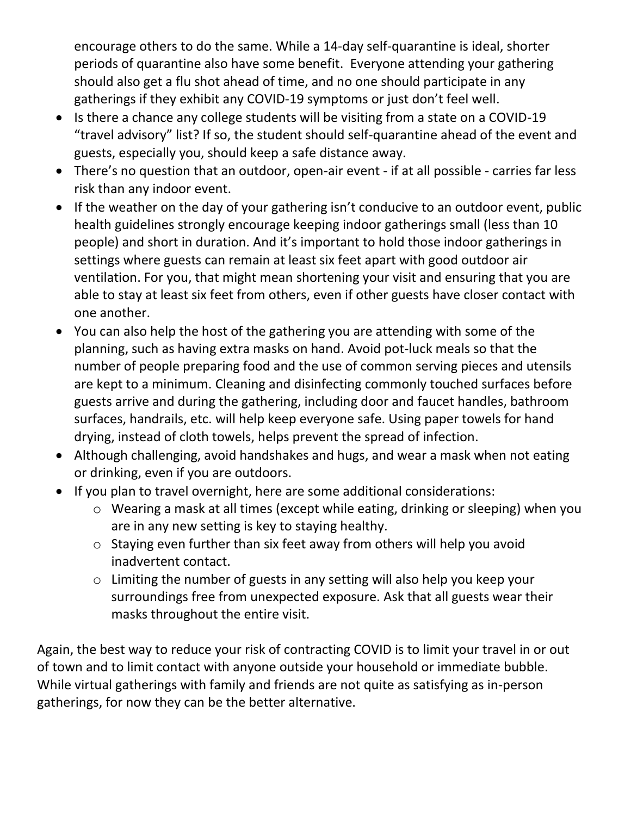encourage others to do the same. While a 14-day self-quarantine is ideal, shorter periods of quarantine also have some benefit. Everyone attending your gathering should also get a flu shot ahead of time, and no one should participate in any gatherings if they exhibit any COVID-19 symptoms or just don't feel well.

- Is there a chance any college students will be visiting from a state on a COVID-19 "travel advisory" list? If so, the student should self-quarantine ahead of the event and guests, especially you, should keep a safe distance away.
- There's no question that an outdoor, open-air event if at all possible carries far less risk than any indoor event.
- If the weather on the day of your gathering isn't conducive to an outdoor event, public health guidelines strongly encourage keeping indoor gatherings small (less than 10 people) and short in duration. And it's important to hold those indoor gatherings in settings where guests can remain at least six feet apart with good outdoor air ventilation. For you, that might mean shortening your visit and ensuring that you are able to stay at least six feet from others, even if other guests have closer contact with one another.
- You can also help the host of the gathering you are attending with some of the planning, such as having extra masks on hand. Avoid pot-luck meals so that the number of people preparing food and the use of common serving pieces and utensils are kept to a minimum. Cleaning and disinfecting commonly touched surfaces before guests arrive and during the gathering, including door and faucet handles, bathroom surfaces, handrails, etc. will help keep everyone safe. Using paper towels for hand drying, instead of cloth towels, helps prevent the spread of infection.
- Although challenging, avoid handshakes and hugs, and wear a mask when not eating or drinking, even if you are outdoors.
- If you plan to travel overnight, here are some additional considerations:
	- o Wearing a mask at all times (except while eating, drinking or sleeping) when you are in any new setting is key to staying healthy.
	- o Staying even further than six feet away from others will help you avoid inadvertent contact.
	- o Limiting the number of guests in any setting will also help you keep your surroundings free from unexpected exposure. Ask that all guests wear their masks throughout the entire visit.

Again, the best way to reduce your risk of contracting COVID is to limit your travel in or out of town and to limit contact with anyone outside your household or immediate bubble. While virtual gatherings with family and friends are not quite as satisfying as in-person gatherings, for now they can be the better alternative.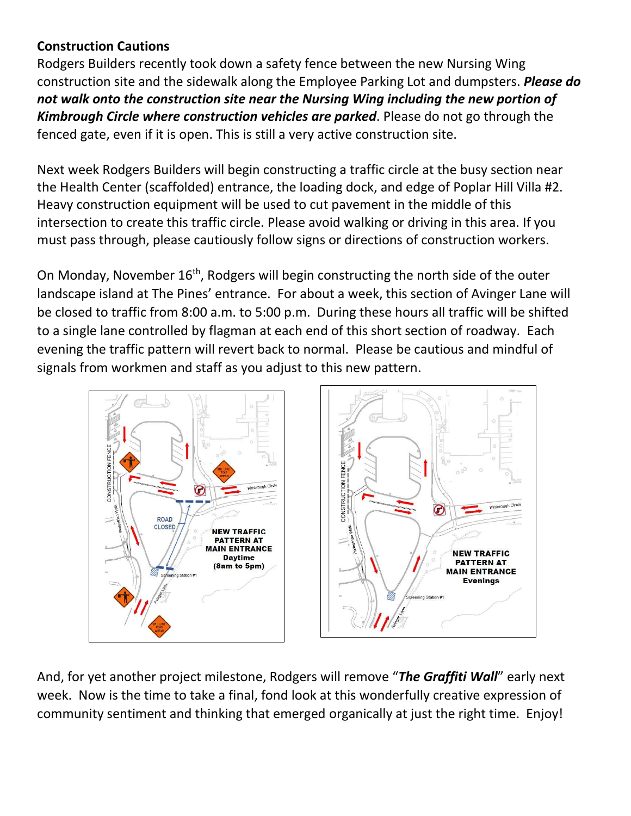## **Construction Cautions**

Rodgers Builders recently took down a safety fence between the new Nursing Wing construction site and the sidewalk along the Employee Parking Lot and dumpsters. *Please do not walk onto the construction site near the Nursing Wing including the new portion of Kimbrough Circle where construction vehicles are parked*. Please do not go through the fenced gate, even if it is open. This is still a very active construction site.

Next week Rodgers Builders will begin constructing a traffic circle at the busy section near the Health Center (scaffolded) entrance, the loading dock, and edge of Poplar Hill Villa #2. Heavy construction equipment will be used to cut pavement in the middle of this intersection to create this traffic circle. Please avoid walking or driving in this area. If you must pass through, please cautiously follow signs or directions of construction workers.

On Monday, November  $16<sup>th</sup>$ , Rodgers will begin constructing the north side of the outer landscape island at The Pines' entrance. For about a week, this section of Avinger Lane will be closed to traffic from 8:00 a.m. to 5:00 p.m. During these hours all traffic will be shifted to a single lane controlled by flagman at each end of this short section of roadway. Each evening the traffic pattern will revert back to normal. Please be cautious and mindful of signals from workmen and staff as you adjust to this new pattern.



And, for yet another project milestone, Rodgers will remove "*The Graffiti Wall*" early next week. Now is the time to take a final, fond look at this wonderfully creative expression of community sentiment and thinking that emerged organically at just the right time. Enjoy!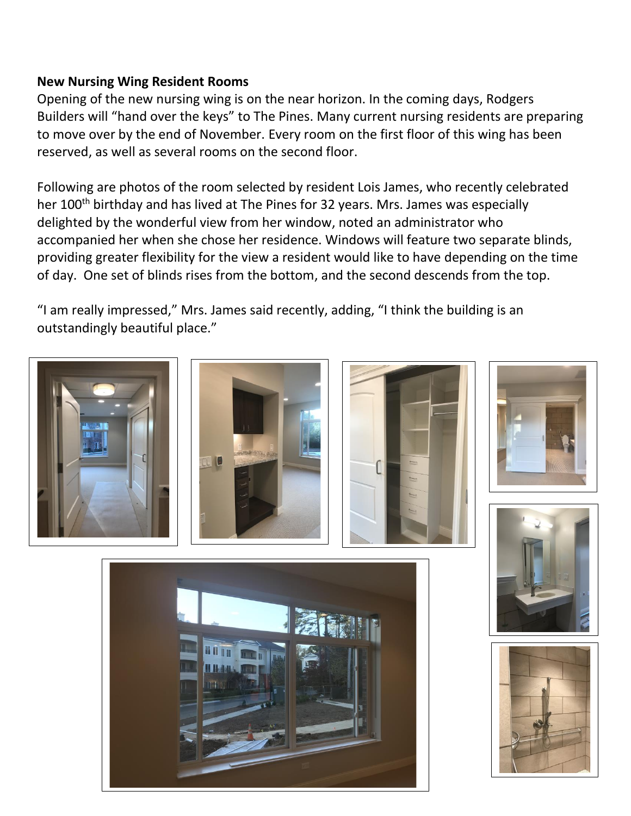### **New Nursing Wing Resident Rooms**

Opening of the new nursing wing is on the near horizon. In the coming days, Rodgers Builders will "hand over the keys" to The Pines. Many current nursing residents are preparing to move over by the end of November. Every room on the first floor of this wing has been reserved, as well as several rooms on the second floor.

Following are photos of the room selected by resident Lois James, who recently celebrated her 100<sup>th</sup> birthday and has lived at The Pines for 32 years. Mrs. James was especially delighted by the wonderful view from her window, noted an administrator who accompanied her when she chose her residence. Windows will feature two separate blinds, providing greater flexibility for the view a resident would like to have depending on the time of day. One set of blinds rises from the bottom, and the second descends from the top.

"I am really impressed," Mrs. James said recently, adding, "I think the building is an outstandingly beautiful place."